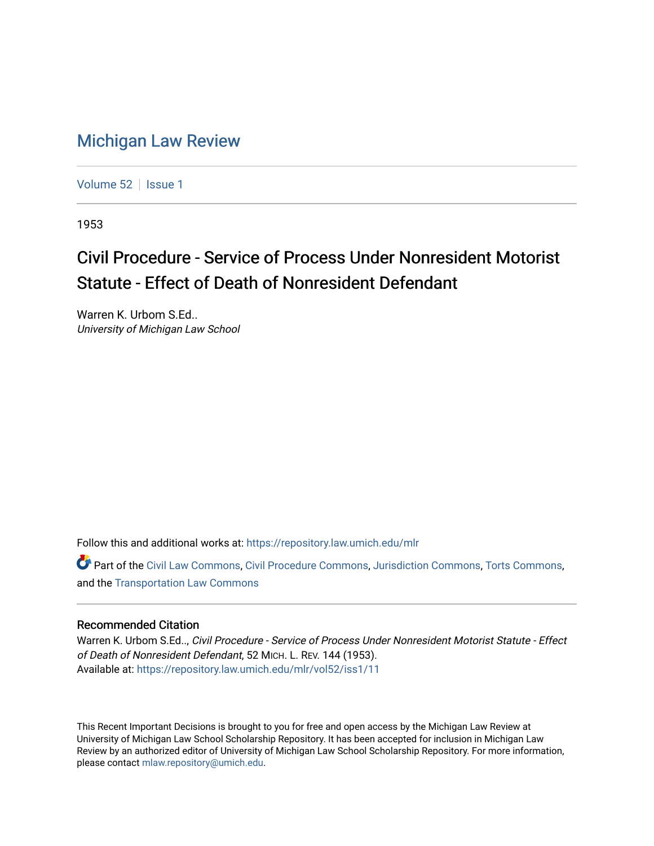## [Michigan Law Review](https://repository.law.umich.edu/mlr)

[Volume 52](https://repository.law.umich.edu/mlr/vol52) | [Issue 1](https://repository.law.umich.edu/mlr/vol52/iss1)

1953

## Civil Procedure - Service of Process Under Nonresident Motorist Statute - Effect of Death of Nonresident Defendant

Warren K. Urbom S.Ed.. University of Michigan Law School

Follow this and additional works at: [https://repository.law.umich.edu/mlr](https://repository.law.umich.edu/mlr?utm_source=repository.law.umich.edu%2Fmlr%2Fvol52%2Fiss1%2F11&utm_medium=PDF&utm_campaign=PDFCoverPages) 

Part of the [Civil Law Commons](http://network.bepress.com/hgg/discipline/835?utm_source=repository.law.umich.edu%2Fmlr%2Fvol52%2Fiss1%2F11&utm_medium=PDF&utm_campaign=PDFCoverPages), [Civil Procedure Commons,](http://network.bepress.com/hgg/discipline/584?utm_source=repository.law.umich.edu%2Fmlr%2Fvol52%2Fiss1%2F11&utm_medium=PDF&utm_campaign=PDFCoverPages) [Jurisdiction Commons](http://network.bepress.com/hgg/discipline/850?utm_source=repository.law.umich.edu%2Fmlr%2Fvol52%2Fiss1%2F11&utm_medium=PDF&utm_campaign=PDFCoverPages), [Torts Commons,](http://network.bepress.com/hgg/discipline/913?utm_source=repository.law.umich.edu%2Fmlr%2Fvol52%2Fiss1%2F11&utm_medium=PDF&utm_campaign=PDFCoverPages) and the [Transportation Law Commons](http://network.bepress.com/hgg/discipline/885?utm_source=repository.law.umich.edu%2Fmlr%2Fvol52%2Fiss1%2F11&utm_medium=PDF&utm_campaign=PDFCoverPages)

## Recommended Citation

Warren K. Urbom S.Ed.., Civil Procedure - Service of Process Under Nonresident Motorist Statute - Effect of Death of Nonresident Defendant, 52 MICH. L. REV. 144 (1953). Available at: [https://repository.law.umich.edu/mlr/vol52/iss1/11](https://repository.law.umich.edu/mlr/vol52/iss1/11?utm_source=repository.law.umich.edu%2Fmlr%2Fvol52%2Fiss1%2F11&utm_medium=PDF&utm_campaign=PDFCoverPages) 

This Recent Important Decisions is brought to you for free and open access by the Michigan Law Review at University of Michigan Law School Scholarship Repository. It has been accepted for inclusion in Michigan Law Review by an authorized editor of University of Michigan Law School Scholarship Repository. For more information, please contact [mlaw.repository@umich.edu.](mailto:mlaw.repository@umich.edu)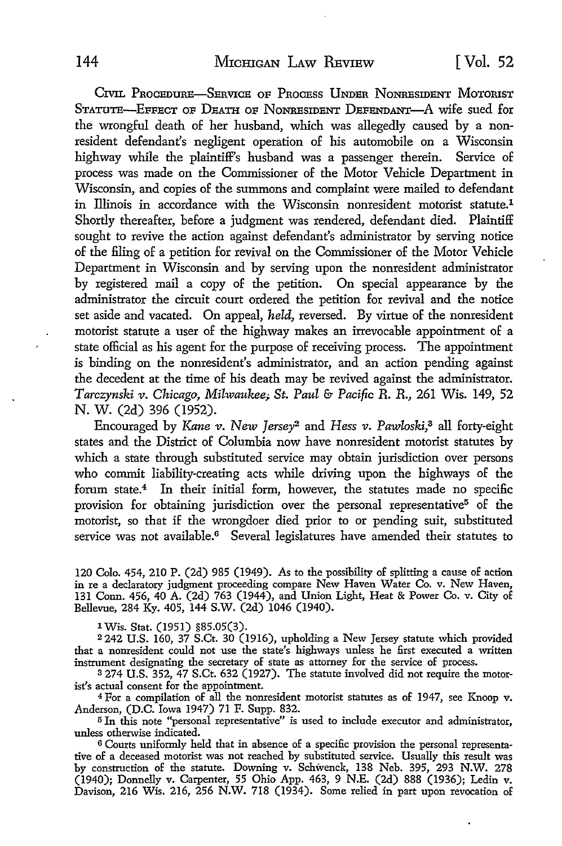CIVIL PROCEDURE-SERVICE OF PROCESS UNDER NONRESIDENT MOTORIST STATUTE-EFFECT OF DEATH OF NONRESIDENT DEFENDANT-A wife sued for the wrongful death of her husband, which was allegedly caused by a nonresident defendant's negligent operation of his automobile on a Wisconsin highway while the plaintiff's husband was a passenger therein. Service of process was made on the Commissioner of the Motor Vehicle Department in Wisconsin, and copies of the summons and complaint were mailed to defendant in Illinois in accordance with the Wisconsin nonresident motorist statute.<sup>1</sup> Shortly thereafter, before a judgment was rendered, defendant died. Plaintiff sought to revive the action against defendant's administrator by serving notice of the filing of a petition for revival on the Commissioner of the Motor Vehicle Department in Wisconsin and by serving upon the nonresident administrator by registered mail a copy of the petition. On special appearance by the administrator the circuit court ordered the petition for revival and the notice set aside and vacated. On appeal, *held,* reversed. By virtue of the nonresident motorist statute a user of the highway makes an irrevocable appointment of a state official as his agent for the purpose of receiving process. The appointment is binding on the nonresident's administrator, and an action pending against the decedent at the time of his death may be revived against the administrator. *Tarczynski v. Chicago, Milwaukee;. St. Paul* & *Pacipc R.* R., 261 Wis. 149, 52 N. W. (2d) 396 (1952).

Encouraged by Kane *v. New Jersey2* and *Hess v. Pawloski,3* all forty-eight states and the District of Columbia now have nonresident motorist statutes by which a state through substituted service may obtain jurisdiction over persons who commit liability-creating acts while driving upon the highways of the forum state.<sup>4</sup> In their initial form, however, the statutes made no specific provision for obtaining jurisdiction over the personal representative<sup>5</sup> of the motorist, so that if the wrongdoer died prior to or pending suit, substituted service was not available.<sup>6</sup> Several legislatures have amended their statutes to

120 Colo. 454, 210 P. (2d) 985 (1949). As to the possibility of splitting a cause of action in re a declaratory judgment proceeding compare New Haven Water Co. v. New Haven, 131 Conn. 456, 40 A. (2d) 763 (1944), and Union Light, Heat & Power Co. v. City of Bellevue, 284 Ky. 405, 144 S.W. (2d) 1046 (1940).

1 Wis. Stat. (1951) §85.05(3).

<sup>2</sup>242 U.S. 160, 37 S.Ct. 30 (1916), upholding a New Jersey statute which provided that a nonresident could not use the state's highways unless he first executed a written instrument designating the secretary of state as attorney for the service of process.

3 274 U.S. 352, 47 S.Ct. 632 (1927). The statute involved did not require the motorist's actual consent for the appointment.

<sup>4</sup>For a compilation of all the nonresident motorist statutes as of 1947, see Knoop v. Anderson, (D.C. Iowa 1947) 71 F. Supp. 832.

<sup>5</sup>In this note "personal representative" is used to include executor and administrator, unless othenvise indicated.

6 Courts uniformly held that in absence of a specific provision the personal representative of a deceased motorist was not reached by substituted service. Usually this result was by construction of the statute. Downing v. Schwenck, 138 Neb. 395, 293 N.W. 278 (1940); Donnelly v. Carpenter, 55 Ohio App. 463, 9 N.E. (2d) 888 (1936); Ledin v. Davison, 216 Wis. 216, 256 N.W. 718 (1934). Some relied in part upon revocation of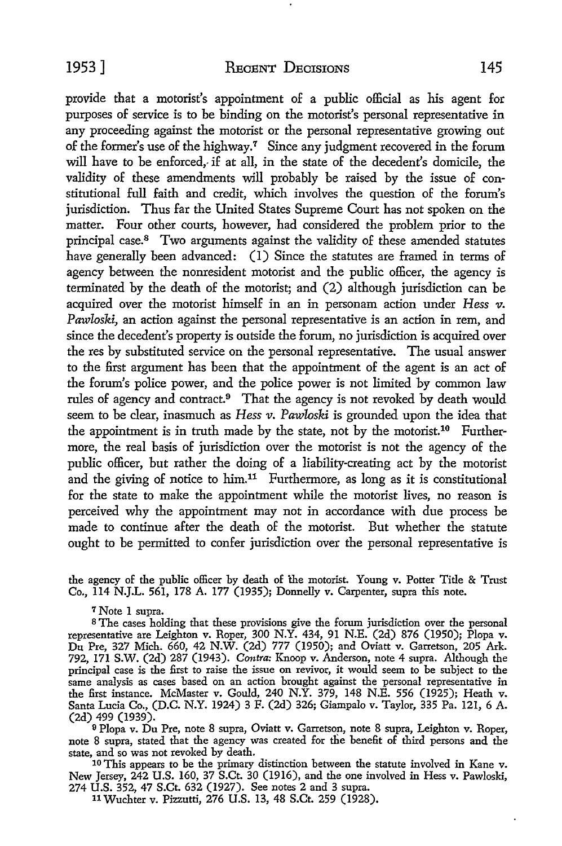provide that a motorist's appointment of a public official as his agent for purposes of service is to be binding on the motorist's personal representative in any proceeding against the motorist or the personal representative growing out of the former's use of the highway.<sup>7</sup> Since any judgment recovered in the forum will have to be enforced, if at all, in the state of the decedent's domicile, the validity of these amendments will probably be raised by the issue of constitutional full faith and credit, which involves the question of the forum's jurisdiction. Thus far the United States Supreme Court has not spoken on the matter. Four other courts, however, had considered the problem prior to the principal case.8 Two arguments against the validity of these amended statutes have generally been advanced: (1) Since the statutes are framed in terms of agency between the nonresident motorist and the public officer, the agency is terminated by the death of the motorist; and (2) although jurisdiction can be acquired over the motorist himself in an in personam action under *Hess v*. *Pawloski,* an action against the personal representative is an action in rem, and since the decedent's property is outside the forum, no jurisdiction is acquired over the res by substituted service on the personal representative. The usual answer to the first argument has been that the appointment of the agent is an act of the forum's police power, and the police power is not limited by common law rules of agency and contract.9 That the agency is not revoked by death would seem to be clear, inasmuch as *Hess v. Pawloski* is grounded upon the idea that the appointment is in truth made by the state, not by the motorist.<sup>10</sup> Furthermore, the real basis of jurisdiction over the motorist is not the agency of the public officer, but rather the doing of a liability-creating act by the motorist and the giving of notice to him.<sup>11</sup> Furthermore, as long as it is constitutional for the state to make the appointment while the motorist lives, no reason is perceived why the appointment may not in accordance with due process be made to continue after the death of the motorist. But whether the statute ought to be permitted to confer jurisdiction over the personal representative is

the agency of the public officer by death of the motorist. Young v. Potter Title & Trust Co., 114 N.J.L. 561, 178 A. 177 (1935); Donnelly v. Carpenter, supra this note.

7 Note l supra.

<sup>8</sup>The cases holding that these provisions give the forum jurisdiction over the personal representative are Leighton v. Roper, 300 N.Y. 434, 91 N.E. (2d) 876 (1950); Plopa v. Du Pre, 327 Mich. 660, 42 N.W. (2d) 777 (1950); and Oviatt v. Garretson, 205 Ark. 792, 171 S.W. (2d) 287 (1943). *Contra:* Knoop v. Anderson, note 4 supra. Although the principal case is the first to raise the issue on revivor, it would seem to be subject to the same analysis as cases based on an action brought against the personal representative in the first instance. McMaster v. Gould, 240 N.Y. 379, 148 N.E. 556 (1925); Heath v. Santa Lucia Co., (D.C. N.Y. 1924) 3 F. (2d) 326; Giampalo v. Taylor, 335 Pa. 121, 6 A. (2d) 499 (1939).

<sup>9</sup>Plopa v. Du Pre, note 8 supra, Oviatt v. Garretson, note 8 supra, Leighton v. Roper, note 8 supra, stated that the agency was created for the benefit of third persons and the state, and so was not revoked by death. state, and so was not revoked by death. 10 This appears to be the primary distinction between the statute involved in Kane v.

New Jersey, 242 U.S. 160, 37 S.Ct. 30 (1916), and the one involved in Hess v. Pawloski, 274 U.S. 352, 47 S.Ct. 632 (1927). See notes 2 and 3 supra.

11 Wuchter v. Pizzutti, 276 U.S. 13, 48 S.Ct. 259 (1928).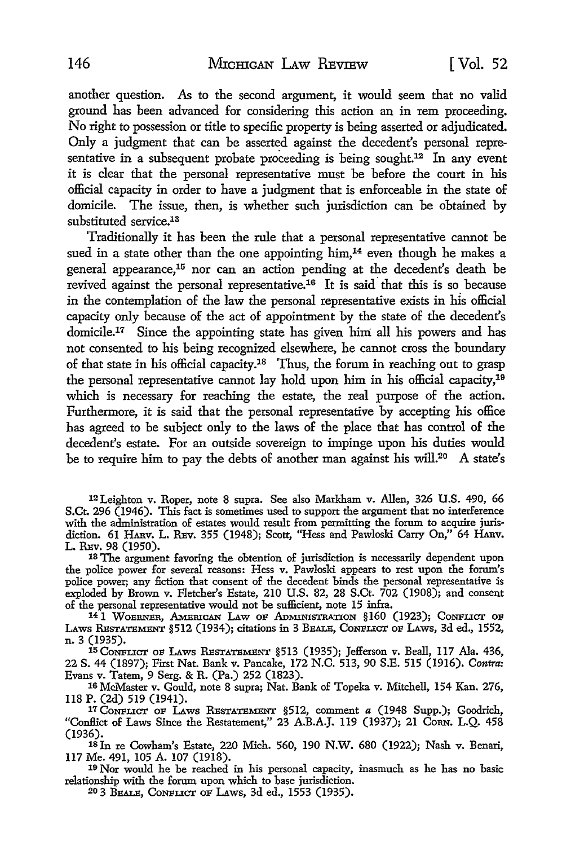another question. As to the second argument, it would seem that no valid ground has been advanced for considering this action an in rem proceeding. No right to possession or title to specific property is being asserted or adjudicated. Only a judgment that can be asserted against the decedent's personal representative in a subsequent probate proceeding is being sought.<sup>12</sup> In any event it is clear that the personal representative must be before the court in his official capacity in order to have a judgment that is enforceable in the state of domicile. The issue, then, is whether such jurisdiction can be obtained by substituted service.<sup>13</sup>

Traditionally it has been the rule that a personal representative cannot be sued in a state other than the one appointing him,<sup>14</sup> even though he makes a general appearance,15 nor can an action pending at the decedent's death be revived against the personal representative.<sup>16</sup> It is said that this is so because in the contemplation of the law the personal representative exists in his official capacity only because of the act of appointment by the state of the decedent's domicile.17 Since the appointing state has given him all his powers and has not consented to his being recognized elsewhere, he cannot cross the boundary of that state in his official capacity.18 Thus, the forum in reaching out to grasp the personal representative cannot lay hold upon him in his official capacity,19 which is necessary for reaching the estate, the real purpose of the action. Furthermore, it is said that the personal representative by accepting his office has agreed to be subject only to the laws of the place that has control of the decedent's estate. For an outside sovereign to impinge upon his duties would be to require him to pay the debts of another man against his will.<sup>20</sup> A state's

12Leighton v. Roper, note 8 supra. See also Markham v. Allen, 326 U.S. 490, 66 S.Ct. 296 (1946). This fact is sometimes used to support the argument that no interference with the administration of estates would result from permitting the forum to acquire jurisdiction. 61 HARV, L. REv. 355 (1948); Scott, "Hess and Pawloski Carry On," 64 HARv. L. REv. 98 (1950).

13 The argument favoring the obtention of jurisdiction is necessarily dependent upon the police power for several reasons: Hess v. Pawloski appears to rest upon the forum's police power; any fiction that consent of the decedent binds the personal representative is exploded by Brown v. Fletcher's Estate, 210 U.S. 82, 28 S.Ct. 702 (1908); and consent of the personal representative would not be sufficient, note 15 infra.

<sup>14</sup> I WOERNER, AMERICAN LAW OF ADMINISTRATION §160 (1923); CONFLICT OF LAws RESTATEMENT §512 (1934); citations in 3 BEALE, CONFLICT OF LAws, 3d ed., 1552, n. 3 (1935).

15 CONFLICT oF LAws RESTATEMENT §513 (1935); Jefferson v. Beall, 117 Ala. 436, 22 S. 44 (1897); First Nat. Bank v. Pancake, 172 N.C. 513, 90 S.E. 515 (1916). *Contra:*  Evans v. Tatem, 9 Serg. & R. (Pa.) 252 (1823).

16 McMaster v. Gould, note 8 supra; Nat. Bank of Topeka v. Mitchell, 154 Kan. 276, 118 P. (2d) 519 (1941).

17 CONFLICT OF LAws RESTATEMENT §512, comment *a* (1948 Supp.); Goodrich, "Conflict of Laws Since the Restatement," 23 A.B.A.J. 119 (1937); 21 Corn. L.Q. 458 (1936).

18 In re Cowham's Estate, 220 Mich. 560, 190 N.W. 680 (1922); Nash v. Benari, 117 Me. 491, 105 A. 107 (1918).

19 Nor would he be reached in his personal capacity, inasmuch as he has no basic relationship with the forum upon which to base jurisdiction.

20 3 BEALE, CONFLICT oF LAws, 3d ed., 1553 (1935).